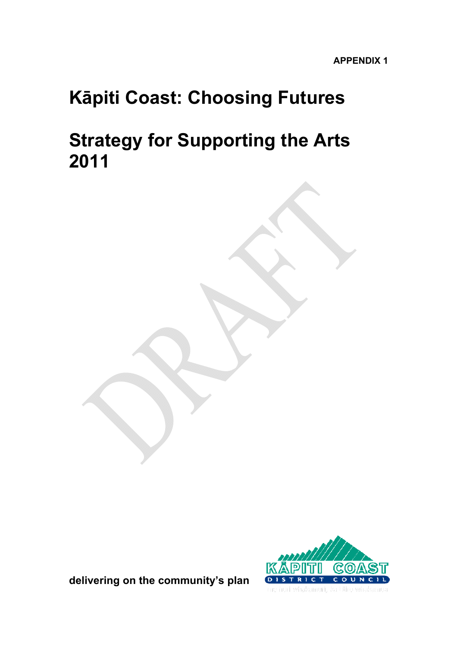# **Kāpiti Coast: Choosing Futures**

# **Strategy for Supporting the Arts 2011**



**delivering on the community's plan** 

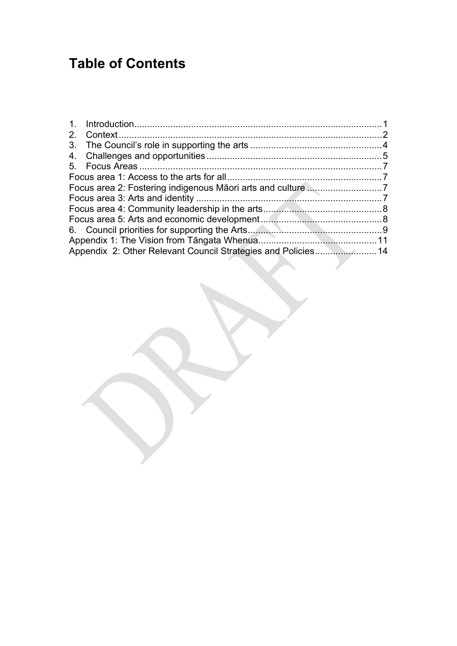# **Table of Contents**

| 2.                                                            |  |
|---------------------------------------------------------------|--|
|                                                               |  |
|                                                               |  |
|                                                               |  |
|                                                               |  |
|                                                               |  |
|                                                               |  |
|                                                               |  |
|                                                               |  |
|                                                               |  |
|                                                               |  |
| Appendix 2: Other Relevant Council Strategies and Policies 14 |  |
|                                                               |  |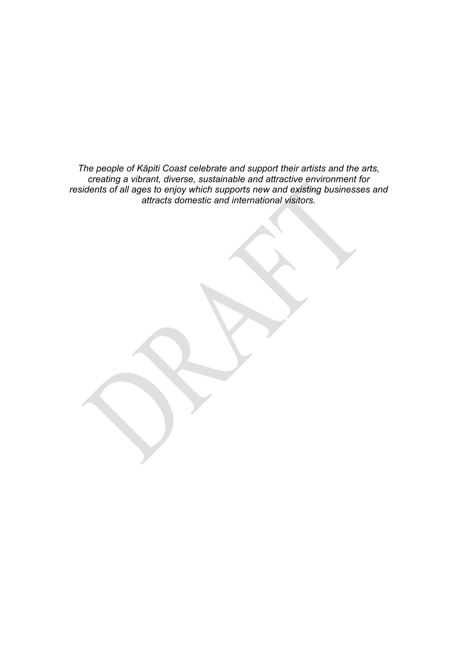*The people of Kāpiti Coast celebrate and support their artists and the arts, creating a vibrant, diverse, sustainable and attractive environment for residents of all ages to enjoy which supports new and existing businesses and attracts domestic and international visitors.*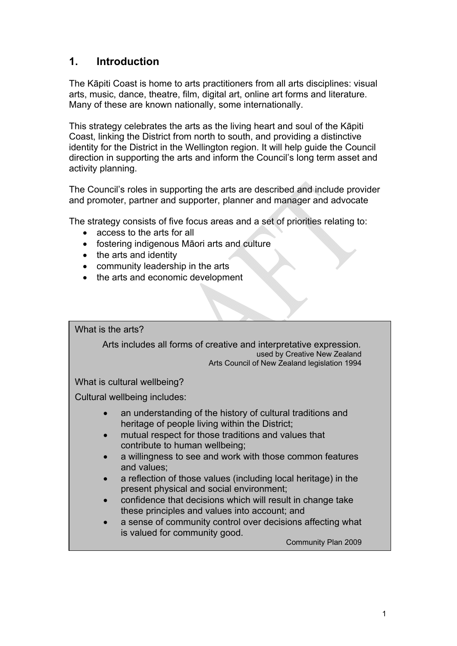## <span id="page-4-0"></span>**1. Introduction**

The Kāpiti Coast is home to arts practitioners from all arts disciplines: visual arts, music, dance, theatre, film, digital art, online art forms and literature. Many of these are known nationally, some internationally.

This strategy celebrates the arts as the living heart and soul of the Kāpiti Coast, linking the District from north to south, and providing a distinctive identity for the District in the Wellington region. It will help guide the Council direction in supporting the arts and inform the Council's long term asset and activity planning.

The Council's roles in supporting the arts are described and include provider and promoter, partner and supporter, planner and manager and advocate

The strategy consists of five focus areas and a set of priorities relating to:

- access to the arts for all
- fostering indigenous Māori arts and culture
- the arts and identity
- community leadership in the arts
- the arts and economic development

What is the arts?

Arts includes all forms of creative and interpretative expression*.* used by Creative New Zealand Arts Council of New Zealand legislation 1994

What is cultural wellbeing?

Cultural wellbeing includes:

- an understanding of the history of cultural traditions and heritage of people living within the District;
- mutual respect for those traditions and values that contribute to human wellbeing;
- a willingness to see and work with those common features and values;
- a reflection of those values (including local heritage) in the present physical and social environment;
- confidence that decisions which will result in change take these principles and values into account; and
- a sense of community control over decisions affecting what is valued for community good.

Community Plan 2009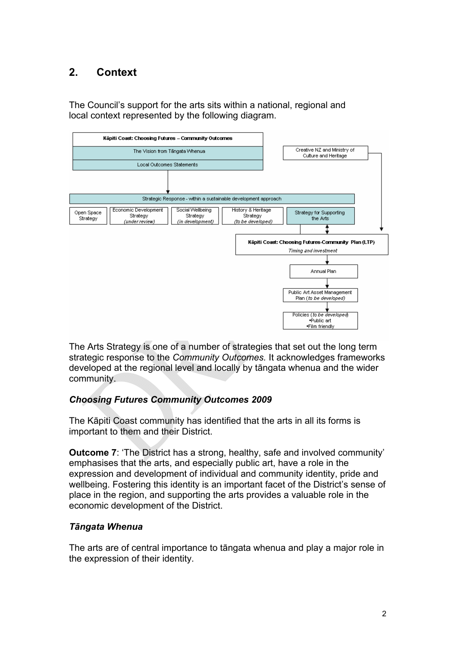## <span id="page-5-0"></span>**2. Context**

The Council's support for the arts sits within a national, regional and local context represented by the following diagram.



The Arts Strategy is one of a number of strategies that set out the long term strategic response to the *Community Outcomes.* It acknowledges frameworks developed at the regional level and locally by tāngata whenua and the wider community.

#### *Choosing Futures Community Outcomes 2009*

The Kāpiti Coast community has identified that the arts in all its forms is important to them and their District.

**Outcome 7:** 'The District has a strong, healthy, safe and involved community' emphasises that the arts, and especially public art, have a role in the expression and development of individual and community identity, pride and wellbeing. Fostering this identity is an important facet of the District's sense of place in the region, and supporting the arts provides a valuable role in the economic development of the District.

#### *Tāngata Whenua*

The arts are of central importance to tāngata whenua and play a major role in the expression of their identity.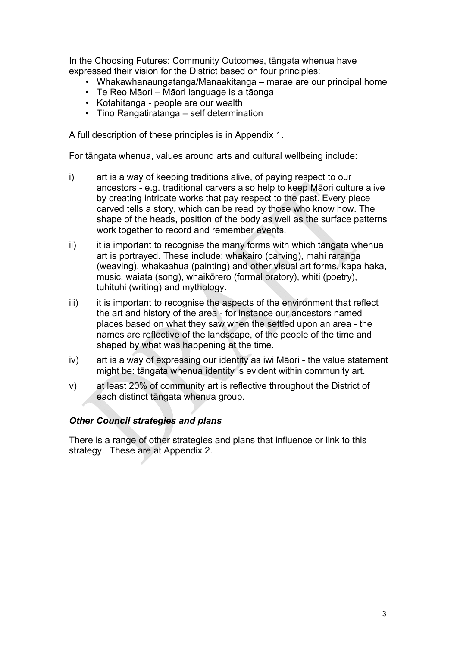In the Choosing Futures: Community Outcomes, tāngata whenua have expressed their vision for the District based on four principles:

- Whakawhanaungatanga/Manaakitanga marae are our principal home
- Te Reo Māori Māori language is a tāonga
- Kotahitanga people are our wealth
- Tino Rangatiratanga self determination

A full description of these principles is in Appendix 1.

For tāngata whenua, values around arts and cultural wellbeing include:

- i) art is a way of keeping traditions alive, of paying respect to our ancestors - e.g. traditional carvers also help to keep Māori culture alive by creating intricate works that pay respect to the past. Every piece carved tells a story, which can be read by those who know how. The shape of the heads, position of the body as well as the surface patterns work together to record and remember events.
- ii) it is important to recognise the many forms with which tāngata whenua art is portrayed. These include: whakairo (carving), mahi raranga (weaving), whakaahua (painting) and other visual art forms, kapa haka, music, waiata (song), whaikōrero (formal oratory), whiti (poetry), tuhituhi (writing) and mythology.
- iii) it is important to recognise the aspects of the environment that reflect the art and history of the area - for instance our ancestors named places based on what they saw when the settled upon an area - the names are reflective of the landscape, of the people of the time and shaped by what was happening at the time.
- iv) art is a way of expressing our identity as iwi Māori the value statement might be: tāngata whenua identity is evident within community art.
- v) at least 20% of community art is reflective throughout the District of each distinct tāngata whenua group.

#### *Other Council strategies and plans*

There is a range of other strategies and plans that influence or link to this strategy. These are at Appendix 2.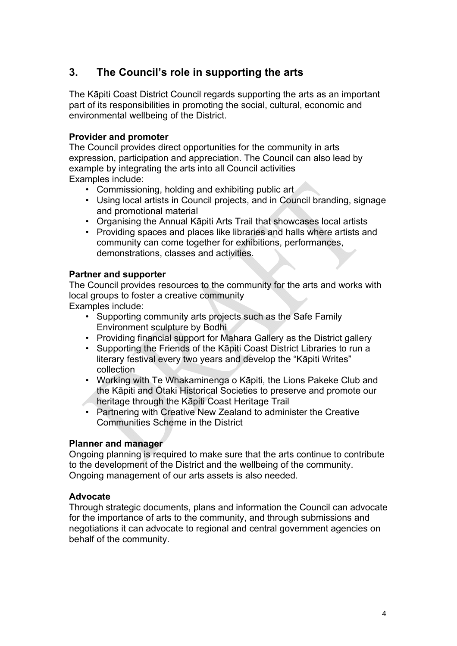## <span id="page-7-0"></span>**3. The Council's role in supporting the arts**

The Kāpiti Coast District Council regards supporting the arts as an important part of its responsibilities in promoting the social, cultural, economic and environmental wellbeing of the District.

#### **Provider and promoter**

The Council provides direct opportunities for the community in arts expression, participation and appreciation. The Council can also lead by example by integrating the arts into all Council activities Examples include:

- Commissioning, holding and exhibiting public art
- Using local artists in Council projects, and in Council branding, signage and promotional material
- Organising the Annual Kāpiti Arts Trail that showcases local artists
- Providing spaces and places like libraries and halls where artists and community can come together for exhibitions, performances, demonstrations, classes and activities.

#### **Partner and supporter**

The Council provides resources to the community for the arts and works with local groups to foster a creative community

Examples include:

- Supporting community arts projects such as the Safe Family Environment sculpture by Bodhi
- Providing financial support for Mahara Gallery as the District gallery
- Supporting the Friends of the Kāpiti Coast District Libraries to run a literary festival every two years and develop the "Kāpiti Writes" collection
- Working with Te Whakaminenga o Kāpiti, the Lions Pakeke Club and the Kāpiti and Ōtaki Historical Societies to preserve and promote our heritage through the Kāpiti Coast Heritage Trail
- Partnering with Creative New Zealand to administer the Creative Communities Scheme in the District

#### **Planner and manager**

Ongoing planning is required to make sure that the arts continue to contribute to the development of the District and the wellbeing of the community. Ongoing management of our arts assets is also needed.

#### **Advocate**

Through strategic documents, plans and information the Council can advocate for the importance of arts to the community, and through submissions and negotiations it can advocate to regional and central government agencies on behalf of the community.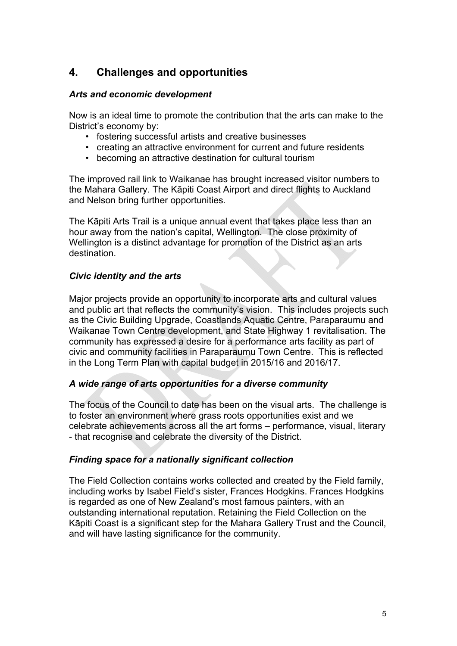## <span id="page-8-0"></span>**4. Challenges and opportunities**

#### *Arts and economic development*

Now is an ideal time to promote the contribution that the arts can make to the District's economy by:

- fostering successful artists and creative businesses
- creating an attractive environment for current and future residents
- becoming an attractive destination for cultural tourism

The improved rail link to Waikanae has brought increased visitor numbers to the Mahara Gallery. The Kāpiti Coast Airport and direct flights to Auckland and Nelson bring further opportunities.

The Kāpiti Arts Trail is a unique annual event that takes place less than an hour away from the nation's capital, Wellington. The close proximity of Wellington is a distinct advantage for promotion of the District as an arts destination.

#### *Civic identity and the arts*

Major projects provide an opportunity to incorporate arts and cultural values and public art that reflects the community's vision. This includes projects such as the Civic Building Upgrade, Coastlands Aquatic Centre, Paraparaumu and Waikanae Town Centre development, and State Highway 1 revitalisation. The community has expressed a desire for a performance arts facility as part of civic and community facilities in Paraparaumu Town Centre. This is reflected in the Long Term Plan with capital budget in 2015/16 and 2016/17.

#### *A wide range of arts opportunities for a diverse community*

The focus of the Council to date has been on the visual arts. The challenge is to foster an environment where grass roots opportunities exist and we celebrate achievements across all the art forms – performance, visual, literary - that recognise and celebrate the diversity of the District.

#### *Finding space for a nationally significant collection*

The Field Collection contains works collected and created by the Field family, including works by Isabel Field's sister, Frances Hodgkins. Frances Hodgkins is regarded as one of New Zealand's most famous painters, with an outstanding international reputation. Retaining the Field Collection on the Kāpiti Coast is a significant step for the Mahara Gallery Trust and the Council, and will have lasting significance for the community.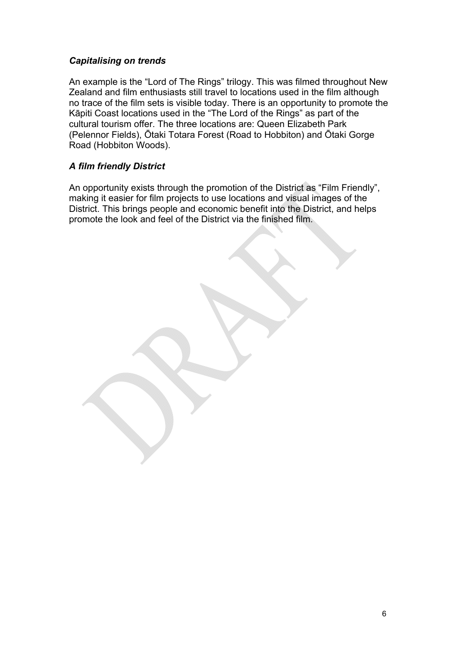#### *Capitalising on trends*

An example is the "Lord of The Rings" trilogy. This was filmed throughout New Zealand and film enthusiasts still travel to locations used in the film although no trace of the film sets is visible today. There is an opportunity to promote the Kāpiti Coast locations used in the "The Lord of the Rings" as part of the cultural tourism offer. The three locations are: Queen Elizabeth Park (Pelennor Fields), Ōtaki Totara Forest (Road to Hobbiton) and Ōtaki Gorge Road (Hobbiton Woods).

#### *A film friendly District*

An opportunity exists through the promotion of the District as "Film Friendly", making it easier for film projects to use locations and visual images of the District. This brings people and economic benefit into the District, and helps promote the look and feel of the District via the finished film.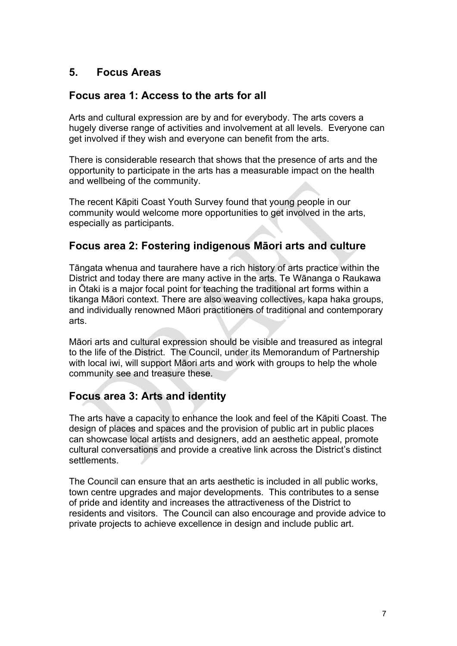## <span id="page-10-0"></span>**5. Focus Areas**

## **Focus area 1: Access to the arts for all**

Arts and cultural expression are by and for everybody. The arts covers a hugely diverse range of activities and involvement at all levels. Everyone can get involved if they wish and everyone can benefit from the arts.

There is considerable research that shows that the presence of arts and the opportunity to participate in the arts has a measurable impact on the health and wellbeing of the community.

The recent Kāpiti Coast Youth Survey found that young people in our community would welcome more opportunities to get involved in the arts, especially as participants.

### **Focus area 2: Fostering indigenous Māori arts and culture**

Tāngata whenua and taurahere have a rich history of arts practice within the District and today there are many active in the arts. Te Wānanga o Raukawa in Ōtaki is a major focal point for teaching the traditional art forms within a tikanga Māori context. There are also weaving collectives, kapa haka groups, and individually renowned Māori practitioners of traditional and contemporary arts.

Māori arts and cultural expression should be visible and treasured as integral to the life of the District. The Council, under its Memorandum of Partnership with local iwi, will support Māori arts and work with groups to help the whole community see and treasure these.

## **Focus area 3: Arts and identity**

The arts have a capacity to enhance the look and feel of the Kāpiti Coast. The design of places and spaces and the provision of public art in public places can showcase local artists and designers, add an aesthetic appeal, promote cultural conversations and provide a creative link across the District's distinct settlements.

The Council can ensure that an arts aesthetic is included in all public works, town centre upgrades and major developments. This contributes to a sense of pride and identity and increases the attractiveness of the District to residents and visitors. The Council can also encourage and provide advice to private projects to achieve excellence in design and include public art.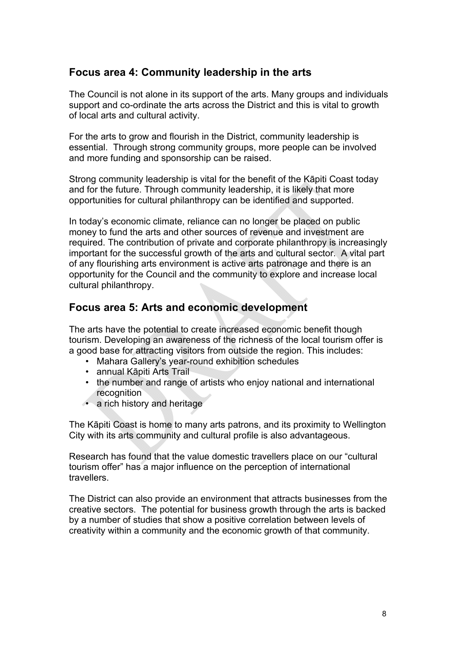### <span id="page-11-0"></span>**Focus area 4: Community leadership in the arts**

The Council is not alone in its support of the arts. Many groups and individuals support and co-ordinate the arts across the District and this is vital to growth of local arts and cultural activity.

For the arts to grow and flourish in the District, community leadership is essential. Through strong community groups, more people can be involved and more funding and sponsorship can be raised.

Strong community leadership is vital for the benefit of the Kāpiti Coast today and for the future. Through community leadership, it is likely that more opportunities for cultural philanthropy can be identified and supported.

In today's economic climate, reliance can no longer be placed on public money to fund the arts and other sources of revenue and investment are required. The contribution of private and corporate philanthropy is increasingly important for the successful growth of the arts and cultural sector. A vital part of any flourishing arts environment is active arts patronage and there is an opportunity for the Council and the community to explore and increase local cultural philanthropy.

#### **Focus area 5: Arts and economic development**

The arts have the potential to create increased economic benefit though tourism. Developing an awareness of the richness of the local tourism offer is a good base for attracting visitors from outside the region. This includes:

- Mahara Gallery's year-round exhibition schedules
- annual Kāpiti Arts Trail
- the number and range of artists who enjoy national and international recognition
- a rich history and heritage

The Kāpiti Coast is home to many arts patrons, and its proximity to Wellington City with its arts community and cultural profile is also advantageous.

Research has found that the value domestic travellers place on our "cultural tourism offer" has a major influence on the perception of international **travellers** 

The District can also provide an environment that attracts businesses from the creative sectors. The potential for business growth through the arts is backed by a number of studies that show a positive correlation between levels of creativity within a community and the economic growth of that community.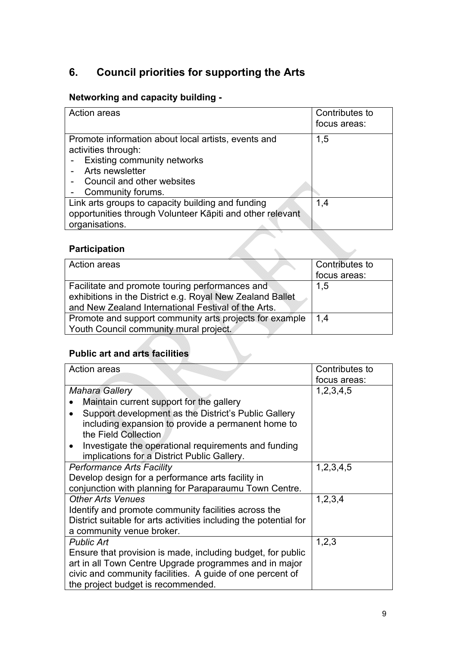## <span id="page-12-0"></span>**6. Council priorities for supporting the Arts**

## **Networking and capacity building -**

| Action areas                                              | Contributes to<br>focus areas: |
|-----------------------------------------------------------|--------------------------------|
| Promote information about local artists, events and       | 1,5                            |
| activities through:                                       |                                |
| <b>Existing community networks</b>                        |                                |
| Arts newsletter                                           |                                |
| Council and other websites                                |                                |
| Community forums.                                         |                                |
| Link arts groups to capacity building and funding         | 1,4                            |
| opportunities through Volunteer Kāpiti and other relevant |                                |
| organisations.                                            |                                |

## **Participation**

| Action areas                                              | Contributes to |
|-----------------------------------------------------------|----------------|
|                                                           | focus areas:   |
| Facilitate and promote touring performances and           | 1,5            |
| exhibitions in the District e.g. Royal New Zealand Ballet |                |
| and New Zealand International Festival of the Arts.       |                |
| Promote and support community arts projects for example   | 1.4            |
| Youth Council community mural project.                    |                |

## **Public art and arts facilities**

| <b>Action areas</b>                                                                                              | Contributes to |
|------------------------------------------------------------------------------------------------------------------|----------------|
|                                                                                                                  | focus areas:   |
| <b>Mahara Gallery</b>                                                                                            | 1, 2, 3, 4, 5  |
| Maintain current support for the gallery                                                                         |                |
| Support development as the District's Public Gallery                                                             |                |
| including expansion to provide a permanent home to<br>the Field Collection                                       |                |
| Investigate the operational requirements and funding<br>$\bullet$<br>implications for a District Public Gallery. |                |
| <b>Performance Arts Facility</b>                                                                                 | 1,2,3,4,5      |
| Develop design for a performance arts facility in                                                                |                |
| conjunction with planning for Paraparaumu Town Centre.                                                           |                |
| <b>Other Arts Venues</b>                                                                                         | 1,2,3,4        |
| Identify and promote community facilities across the                                                             |                |
| District suitable for arts activities including the potential for                                                |                |
| a community venue broker.                                                                                        |                |
| <b>Public Art</b>                                                                                                | 1,2,3          |
| Ensure that provision is made, including budget, for public                                                      |                |
| art in all Town Centre Upgrade programmes and in major                                                           |                |
| civic and community facilities. A guide of one percent of                                                        |                |
| the project budget is recommended.                                                                               |                |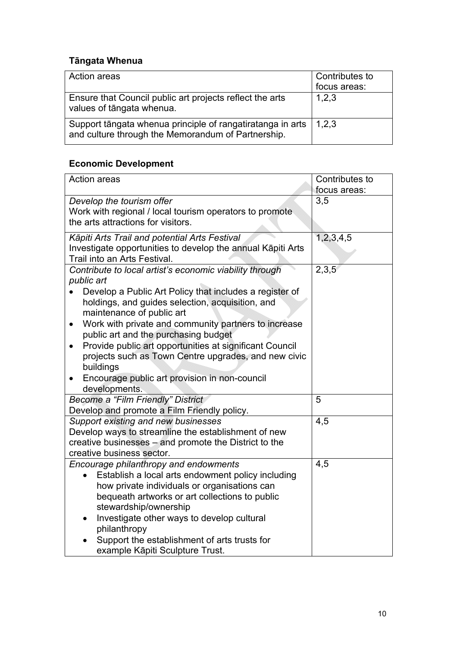## **Tāngata Whenua**

| Action areas                                                                                                     | Contributes to |
|------------------------------------------------------------------------------------------------------------------|----------------|
|                                                                                                                  | focus areas:   |
| Ensure that Council public art projects reflect the arts<br>values of tāngata whenua.                            | 1,2,3          |
| Support tāngata whenua principle of rangatiratanga in arts<br>and culture through the Memorandum of Partnership. | 1,2,3          |

## **Economic Development**

| <b>Action areas</b>                                                                                       | Contributes to |
|-----------------------------------------------------------------------------------------------------------|----------------|
|                                                                                                           | focus areas:   |
| Develop the tourism offer                                                                                 | 3,5            |
| Work with regional / local tourism operators to promote                                                   |                |
| the arts attractions for visitors.                                                                        |                |
| Kāpiti Arts Trail and potential Arts Festival                                                             | 1,2,3,4,5      |
| Investigate opportunities to develop the annual Kāpiti Arts                                               |                |
| Trail into an Arts Festival.                                                                              |                |
| Contribute to local artist's economic viability through                                                   | 2,3,5          |
| public art                                                                                                |                |
| Develop a Public Art Policy that includes a register of                                                   |                |
| holdings, and guides selection, acquisition, and                                                          |                |
| maintenance of public art                                                                                 |                |
| Work with private and community partners to increase<br>$\bullet$<br>public art and the purchasing budget |                |
| Provide public art opportunities at significant Council<br>$\bullet$                                      |                |
| projects such as Town Centre upgrades, and new civic                                                      |                |
| buildings                                                                                                 |                |
| Encourage public art provision in non-council                                                             |                |
| developments.                                                                                             |                |
| Become a "Film Friendly" District                                                                         | 5              |
| Develop and promote a Film Friendly policy.                                                               |                |
| Support existing and new businesses                                                                       | 4,5            |
| Develop ways to streamline the establishment of new                                                       |                |
| creative businesses - and promote the District to the                                                     |                |
| creative business sector.                                                                                 |                |
| Encourage philanthropy and endowments                                                                     | 4,5            |
| Establish a local arts endowment policy including                                                         |                |
| how private individuals or organisations can                                                              |                |
| bequeath artworks or art collections to public                                                            |                |
| stewardship/ownership<br>Investigate other ways to develop cultural                                       |                |
| $\bullet$<br>philanthropy                                                                                 |                |
| Support the establishment of arts trusts for                                                              |                |
| example Kāpiti Sculpture Trust.                                                                           |                |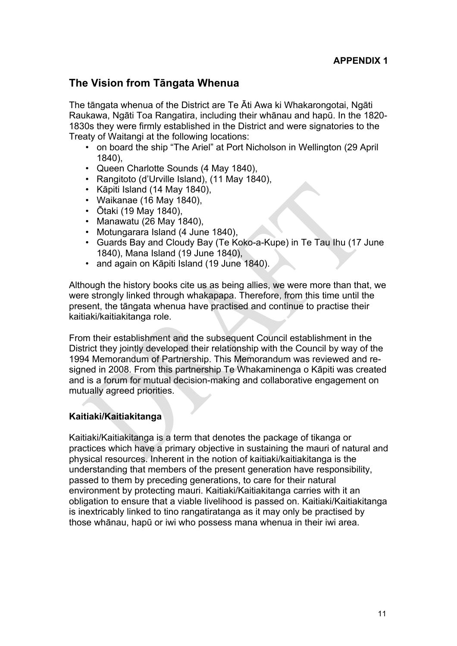## <span id="page-14-0"></span>**The Vision from Tāngata Whenua**

The tāngata whenua of the District are Te Āti Awa ki Whakarongotai, Ngāti Raukawa, Ngāti Toa Rangatira, including their whānau and hapū. In the 1820- 1830s they were firmly established in the District and were signatories to the Treaty of Waitangi at the following locations:

- on board the ship "The Ariel" at Port Nicholson in Wellington (29 April 1840),
- Queen Charlotte Sounds (4 May 1840),
- Rangitoto (d'Urville Island), (11 May 1840),
- Kāpiti Island (14 May 1840),
- Waikanae (16 May 1840),
- Ōtaki (19 May 1840),
- Manawatu (26 May 1840),
- Motungarara Island (4 June 1840),
- Guards Bay and Cloudy Bay (Te Koko-a-Kupe) in Te Tau Ihu (17 June 1840), Mana Island (19 June 1840),
- and again on Kāpiti Island (19 June 1840).

Although the history books cite us as being allies, we were more than that, we were strongly linked through whakapapa. Therefore, from this time until the present, the tāngata whenua have practised and continue to practise their kaitiaki/kaitiakitanga role.

From their establishment and the subsequent Council establishment in the District they jointly developed their relationship with the Council by way of the 1994 Memorandum of Partnership. This Memorandum was reviewed and resigned in 2008. From this partnership Te Whakaminenga o Kāpiti was created and is a forum for mutual decision-making and collaborative engagement on mutually agreed priorities.

#### **Kaitiaki/Kaitiakitanga**

Kaitiaki/Kaitiakitanga is a term that denotes the package of tikanga or practices which have a primary objective in sustaining the mauri of natural and physical resources. Inherent in the notion of kaitiaki/kaitiakitanga is the understanding that members of the present generation have responsibility, passed to them by preceding generations, to care for their natural environment by protecting mauri. Kaitiaki/Kaitiakitanga carries with it an obligation to ensure that a viable livelihood is passed on. Kaitiaki/Kaitiakitanga is inextricably linked to tino rangatiratanga as it may only be practised by those whānau, hapū or iwi who possess mana whenua in their iwi area.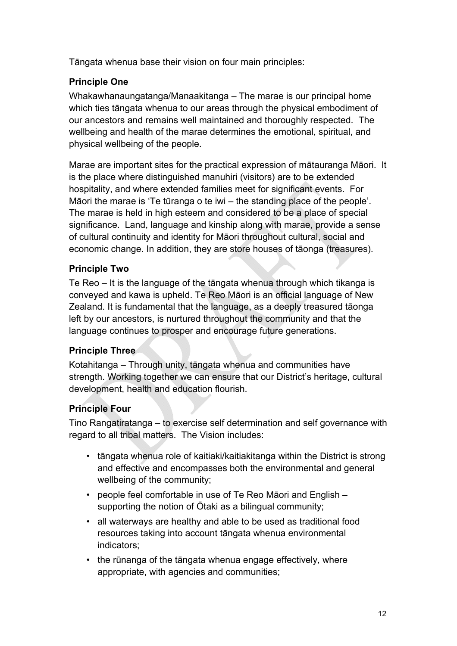Tāngata whenua base their vision on four main principles:

#### **Principle One**

Whakawhanaungatanga/Manaakitanga – The marae is our principal home which ties tāngata whenua to our areas through the physical embodiment of our ancestors and remains well maintained and thoroughly respected. The wellbeing and health of the marae determines the emotional, spiritual, and physical wellbeing of the people.

Marae are important sites for the practical expression of mātauranga Māori. It is the place where distinguished manuhiri (visitors) are to be extended hospitality, and where extended families meet for significant events. For Māori the marae is 'Te tūranga o te iwi – the standing place of the people'. The marae is held in high esteem and considered to be a place of special significance. Land, language and kinship along with marae, provide a sense of cultural continuity and identity for Māori throughout cultural, social and economic change. In addition, they are store houses of tāonga (treasures).

### **Principle Two**

Te Reo – It is the language of the tāngata whenua through which tikanga is conveyed and kawa is upheld. Te Reo Māori is an official language of New Zealand. It is fundamental that the language, as a deeply treasured tāonga left by our ancestors, is nurtured throughout the community and that the language continues to prosper and encourage future generations.

#### **Principle Three**

Kotahitanga – Through unity, tāngata whenua and communities have strength. Working together we can ensure that our District's heritage, cultural development, health and education flourish.

## **Principle Four**

Tino Rangatiratanga – to exercise self determination and self governance with regard to all tribal matters. The Vision includes:

- tāngata whenua role of kaitiaki/kaitiakitanga within the District is strong and effective and encompasses both the environmental and general wellbeing of the community;
- people feel comfortable in use of Te Reo Māori and English supporting the notion of Ōtaki as a bilingual community;
- all waterways are healthy and able to be used as traditional food resources taking into account tāngata whenua environmental indicators;
- the rūnanga of the tāngata whenua engage effectively, where appropriate, with agencies and communities;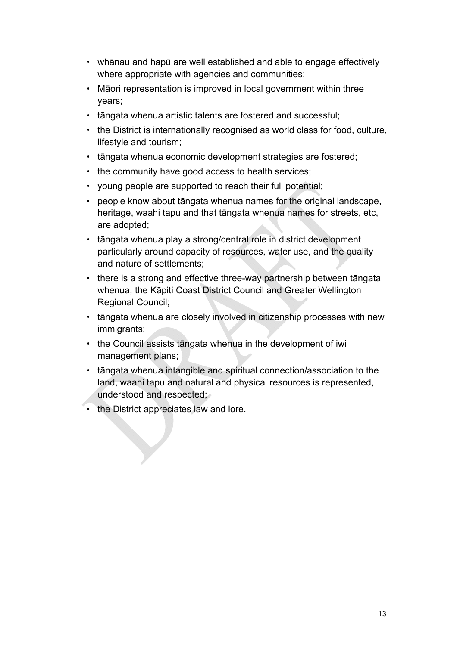- whānau and hapū are well established and able to engage effectively where appropriate with agencies and communities;
- Māori representation is improved in local government within three years;
- tāngata whenua artistic talents are fostered and successful;
- the District is internationally recognised as world class for food, culture, lifestyle and tourism;
- tāngata whenua economic development strategies are fostered;
- the community have good access to health services;
- young people are supported to reach their full potential;
- people know about tāngata whenua names for the original landscape, heritage, waahi tapu and that tāngata whenua names for streets, etc, are adopted;
- tāngata whenua play a strong/central role in district development particularly around capacity of resources, water use, and the quality and nature of settlements;
- there is a strong and effective three-way partnership between tāngata whenua, the Kāpiti Coast District Council and Greater Wellington Regional Council;
- tāngata whenua are closely involved in citizenship processes with new immigrants;
- the Council assists tāngata whenua in the development of iwi management plans;
- tāngata whenua intangible and spiritual connection/association to the land, waahi tapu and natural and physical resources is represented, understood and respected;
- the District appreciates law and lore.